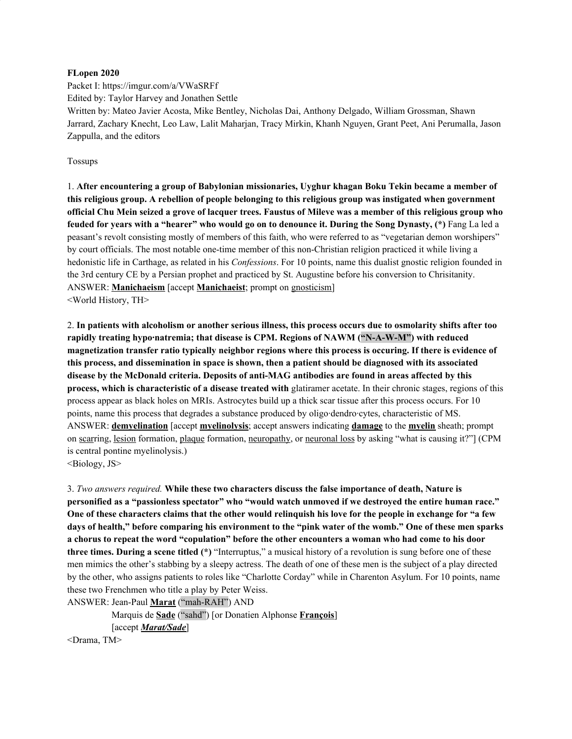#### **FLopen 2020**

Packet I: https://imgur.com/a/VWaSRFf Edited by: Taylor Harvey and Jonathen Settle Written by: Mateo Javier Acosta, Mike Bentley, Nicholas Dai, Anthony Delgado, William Grossman, Shawn Jarrard, Zachary Knecht, Leo Law, Lalit Maharjan, Tracy Mirkin, Khanh Nguyen, Grant Peet, Ani Perumalla, Jason Zappulla, and the editors

#### Tossups

1. **After encountering a group of Babylonian missionaries, Uyghur khagan Boku Tekin became a member of this religious group. A rebellion of people belonging to this religious group was instigated when government** official Chu Mein seized a grove of lacquer trees. Faustus of Mileve was a member of this religious group who feuded for years with a "hearer" who would go on to denounce it. During the Song Dynasty, (\*) Fang La led a peasant's revolt consisting mostly of members of this faith, who were referred to as "vegetarian demon worshipers" by court officials. The most notable one-time member of this non-Christian religion practiced it while living a hedonistic life in Carthage, as related in his *Confessions*. For 10 points, name this dualist gnostic religion founded in the 3rd century CE by a Persian prophet and practiced by St. Augustine before his conversion to Chrisitanity. ANSWER: **Manichaeism** [accept **Manichaeist**; prompt on gnosticism] <World History, TH>

2. In patients with alcoholism or another serious illness, this process occurs due to osmolarity shifts after too **rapidly treating hypo·natremia; that disease is CPM. Regions of NAWM ("N-A-W-M") with reduced magnetization transfer ratio typically neighbor regions where this process is occuring. If there is evidence of this process, and dissemination in space is shown, then a patient should be diagnosed with its associated disease by the McDonald criteria. Deposits of anti-MAG antibodies are found in areas affected by this process, which is characteristic of a disease treated with** glatiramer acetate. In their chronic stages, regions of this process appear as black holes on MRIs. Astrocytes build up a thick scar tissue after this process occurs. For 10 points, name this process that degrades a substance produced by oligo·dendro·cytes, characteristic of MS. ANSWER: **demyelination** [accept **myelinolysis**; accept answers indicating **damage** to the **myelin** sheath; prompt on scarring, lesion formation, plaque formation, neuropathy, or neuronal loss by asking "what is causing it?"] (CPM is central pontine myelinolysis.)

<Biology, JS>

3. *Two answers required.* **While these two characters discuss the false importance of death, Nature is personified as a "passionless spectator" who "would watch unmoved if we destroyed the entire human race."** One of these characters claims that the other would relinguish his love for the people in exchange for "a few days of health," before comparing his environment to the "pink water of the womb." One of these men sparks a chorus to repeat the word "copulation" before the other encounters a woman who had come to his door **three times. During a scene titled (\*)** "Interruptus," a musical history of a revolution is sung before one of these men mimics the other's stabbing by a sleepy actress. The death of one of these men is the subject of a play directed by the other, who assigns patients to roles like "Charlotte Corday" while in Charenton Asylum. For 10 points, name these two Frenchmen who title a play by Peter Weiss.

ANSWER: Jean-Paul **Marat** ("mah-RAH") AND

Marquis de **Sade** ("sahd") [or Donatien Alphonse **François**] [accept *Marat/Sade*]

<Drama, TM>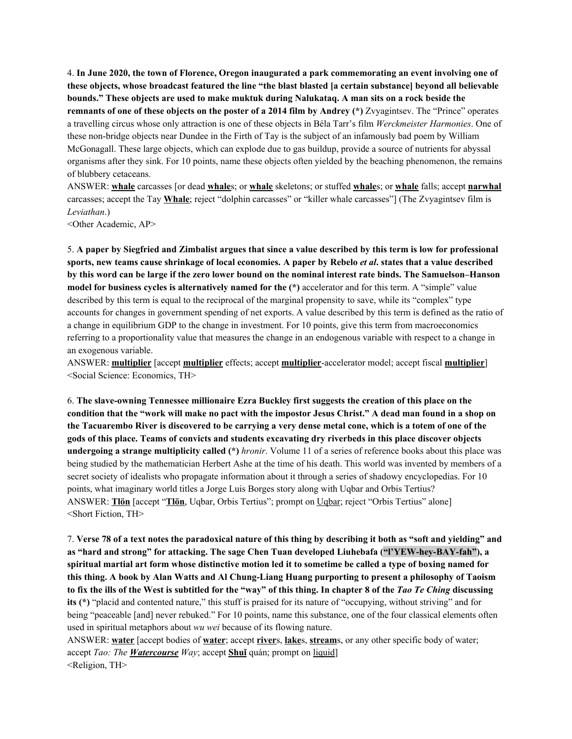4. **In June 2020, the town of Florence, Oregon inaugurated a park commemorating an event involving one of these objects, whose broadcast featured the line "the blast blasted [a certain substance] beyond all believable bounds." These objects are used to make muktuk during Nalukataq. A man sits on a rock beside the remnants of one of these objects on the poster of a 2014 film by Andrey (\*)** Zvyagintsev. The "Prince" operates a travelling circus whose only attraction is one of these objects in Béla Tarr's film *Werckmeister Harmonies*. One of these non-bridge objects near Dundee in the Firth of Tay is the subject of an infamously bad poem by William McGonagall. These large objects, which can explode due to gas buildup, provide a source of nutrients for abyssal organisms after they sink. For 10 points, name these objects often yielded by the beaching phenomenon, the remains of blubbery cetaceans.

ANSWER: **whale** carcasses [or dead **whale**s; or **whale** skeletons; or stuffed **whale**s; or **whale** falls; accept **narwhal** carcasses; accept the Tay **Whale**; reject "dolphin carcasses" or "killer whale carcasses"] (The Zvyagintsev film is *Leviathan*.)

<Other Academic, AP>

5. A paper by Siegfried and Zimbalist argues that since a value described by this term is low for professional sports, new teams cause shrinkage of local economies. A paper by Rebelo et al. states that a value described by this word can be large if the zero lower bound on the nominal interest rate binds. The Samuelson–Hanson **model for business cycles is alternatively named for the (\*)** accelerator and for this term. A "simple" value described by this term is equal to the reciprocal of the marginal propensity to save, while its "complex" type accounts for changes in government spending of net exports. A value described by this term is defined as the ratio of a change in equilibrium GDP to the change in investment. For 10 points, give this term from macroeconomics referring to a proportionality value that measures the change in an endogenous variable with respect to a change in an exogenous variable.

ANSWER: **multiplier** [accept **multiplier** effects; accept **multiplier**-accelerator model; accept fiscal **multiplier**] <Social Science: Economics, TH>

6. **The slave-owning Tennessee millionaire Ezra Buckley first suggests the creation of this place on the** condition that the "work will make no pact with the impostor Jesus Christ." A dead man found in a shop on the Tacuarembo River is discovered to be carrying a very dense metal cone, which is a totem of one of the gods of this place. Teams of convicts and students excavating dry riverbeds in this place discover objects **undergoing a strange multiplicity called (\*)** *hronir*. Volume 11 of a series of reference books about this place was being studied by the mathematician Herbert Ashe at the time of his death. This world was invented by members of a secret society of idealists who propagate information about it through a series of shadowy encyclopedias. For 10 points, what imaginary world titles a Jorge Luis Borges story along with Uqbar and Orbis Tertius? ANSWER: **Tlön** [accept "**Tlön**, Uqbar, Orbis Tertius"; prompt on Uqbar; reject "Orbis Tertius" alone] <Short Fiction, TH>

7. Verse 78 of a text notes the paradoxical nature of this thing by describing it both as "soft and yielding" and **as "hard and strong" for attacking. The sage Chen Tuan developed Liuhebafa ("l'YEW-hey-BAY-fah"), a** spiritual martial art form whose distinctive motion led it to sometime be called a type of boxing named for this thing. A book by Alan Watts and Al Chung-Liang Huang purporting to present a philosophy of Taoism to fix the ills of the West is subtitled for the "way" of this thing. In chapter 8 of the Tao Te Ching discussing **its (\*)** "placid and contented nature," this stuff is praised for its nature of "occupying, without striving" and for being "peaceable [and] never rebuked." For 10 points, name this substance, one of the four classical elements often used in spiritual metaphors about *wu wei* because of its flowing nature.

ANSWER: **water** [accept bodies of **water**; accept **river**s, **lake**s, **stream**s, or any other specific body of water; accept *Tao: The Watercourse Way*; accept **Shuǐ** quán; prompt on liquid] <Religion, TH>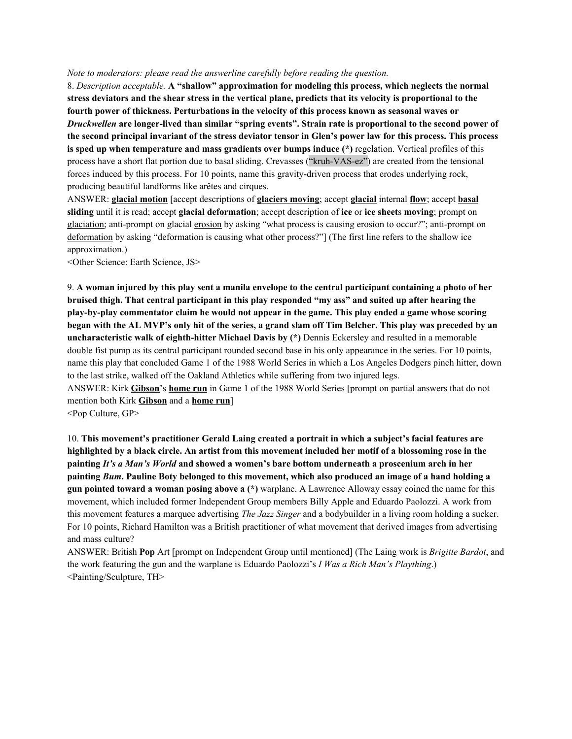#### *Note to moderators: please read the answerline carefully before reading the question.*

8. *Description acceptable.* **A "shallow" approximation for modeling this process, which neglects the normal** stress deviators and the shear stress in the vertical plane, predicts that its velocity is proportional to the **fourth power of thickness. Perturbations in the velocity of this process known as seasonal waves or** *Druckwellen* **are longer-lived than similar "spring events". Strain rate is proportional to the second power of** the second principal invariant of the stress deviator tensor in Glen's power law for this process. This process **is sped up when temperature and mass gradients over bumps induce (\*)** regelation. Vertical profiles of this process have a short flat portion due to basal sliding. Crevasses ("kruh-VAS-ez") are created from the tensional forces induced by this process. For 10 points, name this gravity-driven process that erodes underlying rock, producing beautiful landforms like arêtes and cirques.

ANSWER: **glacial motion** [accept descriptions of **glaciers moving**; accept **glacial** internal **flow**; accept **basal sliding** until it is read; accept **glacial deformation**; accept description of **ice** or **ice sheet**s **moving**; prompt on glaciation; anti-prompt on glacial erosion by asking "what process is causing erosion to occur?"; anti-prompt on deformation by asking "deformation is causing what other process?"] (The first line refers to the shallow ice approximation.)

<Other Science: Earth Science, JS>

9. A woman injured by this play sent a manila envelope to the central participant containing a photo of her **bruised thigh. That central participant in this play responded "my ass" and suited up after hearing the play-by-play commentator claim he would not appear in the game. This play ended a game whose scoring** began with the AL MVP's only hit of the series, a grand slam off Tim Belcher. This play was preceded by an **uncharacteristic walk of eighth-hitter Michael Davis by (\*)** Dennis Eckersley and resulted in a memorable double fist pump as its central participant rounded second base in his only appearance in the series. For 10 points, name this play that concluded Game 1 of the 1988 World Series in which a Los Angeles Dodgers pinch hitter, down to the last strike, walked off the Oakland Athletics while suffering from two injured legs.

ANSWER: Kirk **Gibson**'s **home run** in Game 1 of the 1988 World Series [prompt on partial answers that do not mention both Kirk **Gibson** and a **home run**]

<Pop Culture, GP>

10. **This movement's practitioner Gerald Laing created a portrait in which a subject's facial features are** highlighted by a black circle. An artist from this movement included her motif of a blossoming rose in the **painting** *It's a Man's World* **and showed a women's bare bottom underneath a proscenium arch in her** painting Bum. Pauline Boty belonged to this movement, which also produced an image of a hand holding a **gun pointed toward a woman posing above a (\*)** warplane. A Lawrence Alloway essay coined the name for this movement, which included former Independent Group members Billy Apple and Eduardo Paolozzi. A work from this movement features a marquee advertising *The Jazz Singer* and a bodybuilder in a living room holding a sucker. For 10 points, Richard Hamilton was a British practitioner of what movement that derived images from advertising and mass culture?

ANSWER: British **Pop** Art [prompt on Independent Group until mentioned] (The Laing work is *Brigitte Bardot*, and the work featuring the gun and the warplane is Eduardo Paolozzi's *I Was a Rich Man's Plaything*.) <Painting/Sculpture, TH>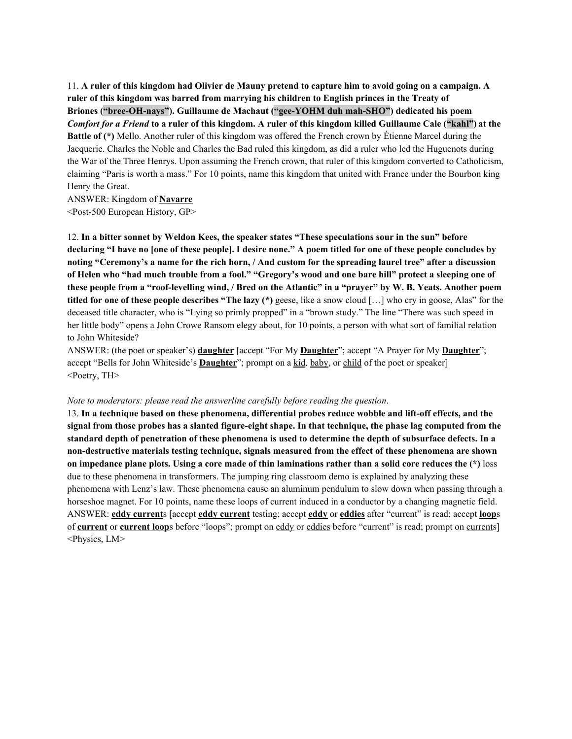11. A ruler of this kingdom had Olivier de Mauny pretend to capture him to avoid going on a campaign. A **ruler of this kingdom was barred from marrying his children to English princes in the Treaty of Briones ("bree-OH-nays"). Guillaume de Machaut ("gee-YOHM duh mah-SHO") dedicated his poem** Comfort for a Friend to a ruler of this kingdom. A ruler of this kingdom killed Guillaume Cale ("kahl") at the **Battle of (\*)** Mello. Another ruler of this kingdom was offered the French crown by Étienne Marcel during the Jacquerie. Charles the Noble and Charles the Bad ruled this kingdom, as did a ruler who led the Huguenots during the War of the Three Henrys. Upon assuming the French crown, that ruler of this kingdom converted to Catholicism, claiming "Paris is worth a mass." For 10 points, name this kingdom that united with France under the Bourbon king Henry the Great.

ANSWER: Kingdom of **Navarre** <Post-500 European History, GP>

12. **In a bitter sonnet by Weldon Kees, the speaker states "These speculations sour in the sun" before** declaring "I have no [one of these people]. I desire none." A poem titled for one of these people concludes by noting "Ceremony's a name for the rich horn, / And custom for the spreading laurel tree" after a discussion of Helen who "had much trouble from a fool." "Gregory's wood and one bare hill" protect a sleeping one of these people from a "roof-levelling wind, / Bred on the Atlantic" in a "prayer" by W. B. Yeats. Another poem **titled for one of these people describes "The lazy (\*)** geese, like a snow cloud […] who cry in goose, Alas" for the deceased title character, who is "Lying so primly propped" in a "brown study." The line "There was such speed in her little body" opens a John Crowe Ransom elegy about, for 10 points, a person with what sort of familial relation to John Whiteside?

ANSWER: (the poet or speaker's) **daughter** [accept "For My **Daughter**"; accept "A Prayer for My **Daughter**"; accept "Bells for John Whiteside's **Daughter**"; prompt on a kid*,* baby, or child of the poet or speaker] <Poetry, TH>

#### *Note to moderators: please read the answerline carefully before reading the question*.

13. **In a technique based on these phenomena, differential probes reduce wobble and lift-off effects, and the** signal from those probes has a slanted figure-eight shape. In that technique, the phase lag computed from the standard depth of penetration of these phenomena is used to determine the depth of subsurface defects. In a **non-destructive materials testing technique, signals measured from the effect of these phenomena are shown** on impedance plane plots. Using a core made of thin laminations rather than a solid core reduces the  $(*)$  loss due to these phenomena in transformers. The jumping ring classroom demo is explained by analyzing these phenomena with Lenz's law. These phenomena cause an aluminum pendulum to slow down when passing through a horseshoe magnet. For 10 points, name these loops of current induced in a conductor by a changing magnetic field. ANSWER: **eddy current**s [accept **eddy current** testing; accept **eddy** or **eddies** after "current" is read; accept **loop**s of **current** or **current loop**s before "loops"; prompt on eddy or eddies before "current" is read; prompt on currents] <Physics, LM>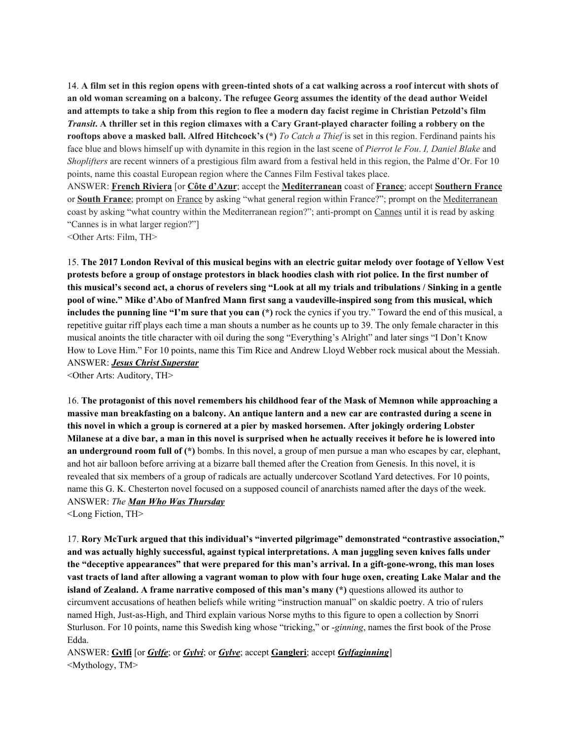14. A film set in this region opens with green-tinted shots of a cat walking across a roof intercut with shots of an old woman screaming on a balcony. The refugee Georg assumes the identity of the dead author Weidel and attempts to take a ship from this region to flee a modern day facist regime in Christian Petzold's film Transit. A thriller set in this region climaxes with a Cary Grant-played character foiling a robbery on the **rooftops above a masked ball. Alfred Hitchcock's (\*)** *To Catch a Thief* is set in this region. Ferdinand paints his face blue and blows himself up with dynamite in this region in the last scene of *Pierrot le Fou*. *I, Daniel Blake* and *Shoplifters* are recent winners of a prestigious film award from a festival held in this region, the Palme d'Or. For 10 points, name this coastal European region where the Cannes Film Festival takes place. ANSWER: **French Riviera** [or **Côte d'Azur**; accept the **Mediterranean** coast of **France**; accept **Southern France** or **South France**; prompt on France by asking "what general region within France?"; prompt on the Mediterranean coast by asking "what country within the Mediterranean region?"; anti-prompt on Cannes until it is read by asking

"Cannes is in what larger region?"]

<Other Arts: Film, TH>

15. The 2017 London Revival of this musical begins with an electric guitar melody over footage of Yellow Vest protests before a group of onstage protestors in black hoodies clash with riot police. In the first number of this musical's second act, a chorus of revelers sing "Look at all my trials and tribulations / Sinking in a gentle **pool of wine." Mike d'Abo of Manfred Mann first sang a vaudeville-inspired song from this musical, which includes the punning line "I'm sure that you can (\*)** rock the cynics if you try." Toward the end of this musical, a repetitive guitar riff plays each time a man shouts a number as he counts up to 39. The only female character in this musical anoints the title character with oil during the song "Everything's Alright" and later sings "I Don't Know How to Love Him." For 10 points, name this Tim Rice and Andrew Lloyd Webber rock musical about the Messiah. ANSWER: *Jesus Christ Superstar*

<Other Arts: Auditory, TH>

16. **The protagonist of this novel remembers his childhood fear of the Mask of Memnon while approaching a** massive man breakfasting on a balcony. An antique lantern and a new car are contrasted during a scene in this novel in which a group is cornered at a pier by masked horsemen. After jokingly ordering Lobster Milanese at a dive bar, a man in this novel is surprised when he actually receives it before he is lowered into **an underground room full of (\*)** bombs. In this novel, a group of men pursue a man who escapes by car, elephant, and hot air balloon before arriving at a bizarre ball themed after the Creation from Genesis. In this novel, it is revealed that six members of a group of radicals are actually undercover Scotland Yard detectives. For 10 points, name this G. K. Chesterton novel focused on a supposed council of anarchists named after the days of the week. ANSWER: *The Man Who Was Thursday*

<Long Fiction, TH>

17. **Rory McTurk argued that this individual's "inverted pilgrimage" demonstrated "contrastive association," and was actually highly successful, against typical interpretations. A man juggling seven knives falls under the "deceptive appearances" that were prepared for this man's arrival. In a gift-gone-wrong, this man loses** vast tracts of land after allowing a vagrant woman to plow with four huge oxen, creating Lake Malar and the **island of Zealand. A frame narrative composed of this man's many (\*)** questions allowed its author to circumvent accusations of heathen beliefs while writing "instruction manual" on skaldic poetry. A trio of rulers named High, Just-as-High, and Third explain various Norse myths to this figure to open a collection by Snorri Sturluson. For 10 points, name this Swedish king whose "tricking," or -*ginning*, names the first book of the Prose Edda.

ANSWER: **Gylfi** [or *Gylfe*; or *Gylvi*; or *Gylve*; accept **Gangleri**; accept *Gylfaginning*] <Mythology, TM>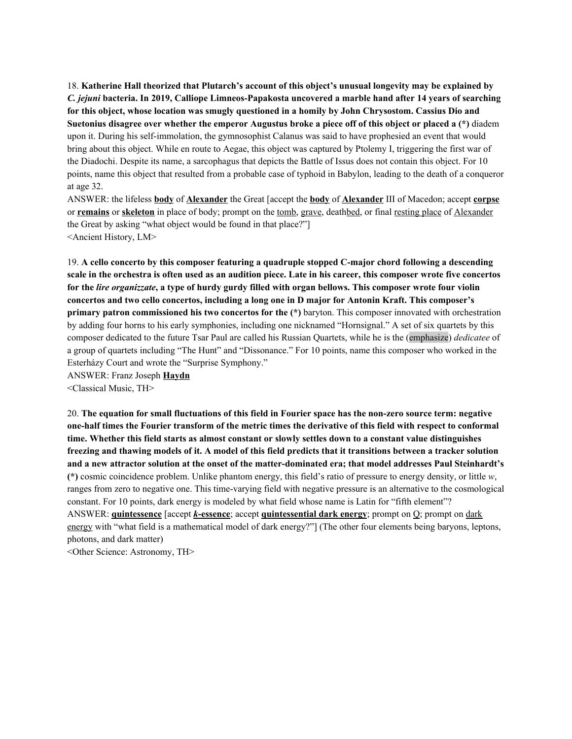18. **Katherine Hall theorized that Plutarch's account of this object's unusual longevity may be explained by** *C. jejuni* **bacteria. In 2019, Calliope Limneos-Papakosta uncovered a marble hand after 14 years of searching for this object, whose location was smugly questioned in a homily by John Chrysostom. Cassius Dio and** Suetonius disagree over whether the emperor Augustus broke a piece off of this object or placed a (\*) diadem upon it. During his self-immolation, the gymnosophist Calanus was said to have prophesied an event that would bring about this object. While en route to Aegae, this object was captured by Ptolemy I, triggering the first war of the Diadochi. Despite its name, a sarcophagus that depicts the Battle of Issus does not contain this object. For 10 points, name this object that resulted from a probable case of typhoid in Babylon, leading to the death of a conqueror at age 32.

ANSWER: the lifeless **body** of **Alexander** the Great [accept the **body** of **Alexander** III of Macedon; accept **corpse** or **remains** or **skeleton** in place of body; prompt on the tomb, grave, deathbed, or final resting place of Alexander the Great by asking "what object would be found in that place?"] <Ancient History, LM>

19. **A cello concerto by this composer featuring a quadruple stopped C-major chord following a descending** scale in the orchestra is often used as an audition piece. Late in his career, this composer wrote five concertos for the lire organizzate, a type of hurdy gurdy filled with organ bellows. This composer wrote four violin **concertos and two cello concertos, including a long one in D major for Antonin Kraft. This composer's primary patron commissioned his two concertos for the (\*)** baryton. This composer innovated with orchestration by adding four horns to his early symphonies, including one nicknamed "Hornsignal." A set of six quartets by this composer dedicated to the future Tsar Paul are called his Russian Quartets, while he is the (emphasize) *dedicatee* of a group of quartets including "The Hunt" and "Dissonance." For 10 points, name this composer who worked in the Esterházy Court and wrote the "Surprise Symphony."

ANSWER: Franz Joseph **Haydn**

<Classical Music, TH>

20. The equation for small fluctuations of this field in Fourier space has the non-zero source term: negative one-half times the Fourier transform of the metric times the derivative of this field with respect to conformal time. Whether this field starts as almost constant or slowly settles down to a constant value distinguishes freezing and thawing models of it. A model of this field predicts that it transitions between a tracker solution and a new attractor solution at the onset of the matter-dominated era; that model addresses Paul Steinhardt's **(\*)** cosmic coincidence problem. Unlike phantom energy, this field's ratio of pressure to energy density, or little *w*, ranges from zero to negative one. This time-varying field with negative pressure is an alternative to the cosmological constant. For 10 points, dark energy is modeled by what field whose name is Latin for "fifth element"? ANSWER: **quintessence** [accept *k***-essence**; accept **quintessential dark energy**; prompt on Q; prompt on dark energy with "what field is a mathematical model of dark energy?"] (The other four elements being baryons, leptons, photons, and dark matter)

<Other Science: Astronomy, TH>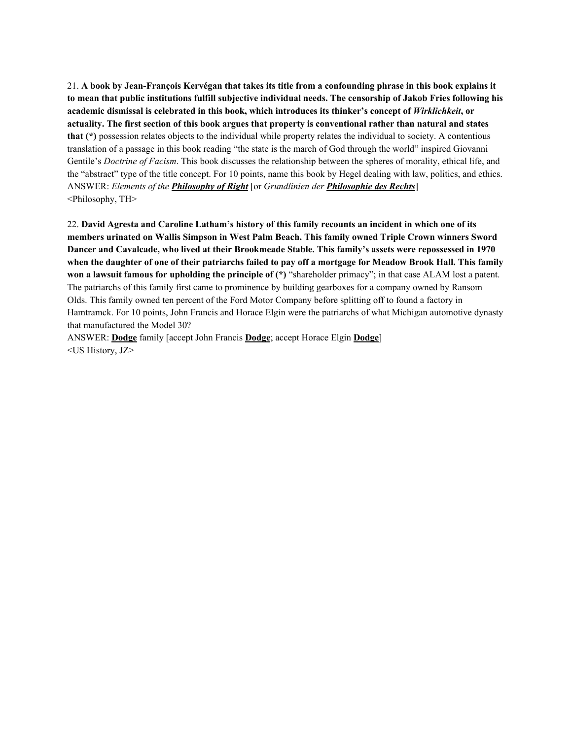21. A book by Jean-François Kervégan that takes its title from a confounding phrase in this book explains it to mean that public institutions fulfill subjective individual needs. The censorship of Jakob Fries following his **academic dismissal is celebrated in this book, which introduces its thinker's concept of** *Wirklichkeit***, or** actuality. The first section of this book argues that property is conventional rather than natural and states **that (\*)** possession relates objects to the individual while property relates the individual to society. A contentious translation of a passage in this book reading "the state is the march of God through the world" inspired Giovanni Gentile's *Doctrine of Facism*. This book discusses the relationship between the spheres of morality, ethical life, and the "abstract" type of the title concept. For 10 points, name this book by Hegel dealing with law, politics, and ethics. ANSWER: *Elements of the Philosophy of Right* [or *Grundlinien der Philosophie des Rechts*] <Philosophy, TH>

22. **David Agresta and Caroline Latham's history of this family recounts an incident in which one of its members urinated on Wallis Simpson in West Palm Beach. This family owned Triple Crown winners Sword Dancer and Cavalcade, who lived at their Brookmeade Stable. This family's assets were repossessed in 1970** when the daughter of one of their patriarchs failed to pay off a mortgage for Meadow Brook Hall. This family **won a lawsuit famous for upholding the principle of (\*)** "shareholder primacy"; in that case ALAM lost a patent. The patriarchs of this family first came to prominence by building gearboxes for a company owned by Ransom Olds. This family owned ten percent of the Ford Motor Company before splitting off to found a factory in Hamtramck. For 10 points, John Francis and Horace Elgin were the patriarchs of what Michigan automotive dynasty that manufactured the Model 30?

ANSWER: **Dodge** family [accept John Francis **Dodge**; accept Horace Elgin **Dodge**] <US History, JZ>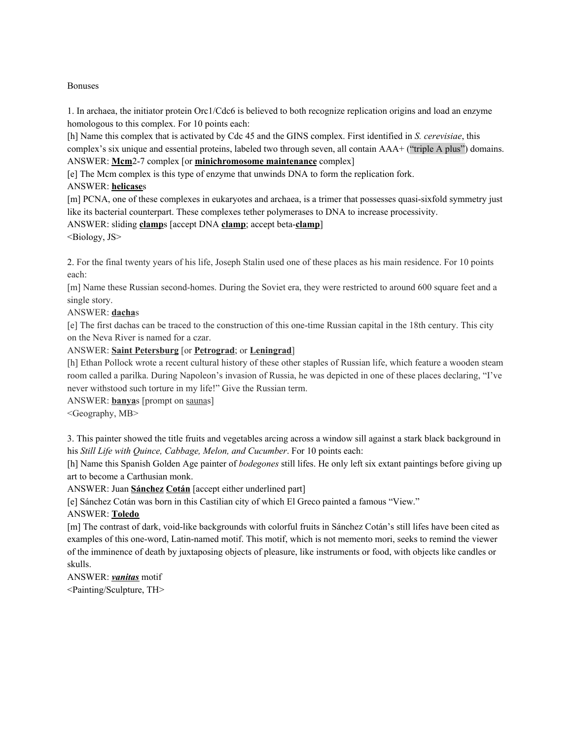#### Bonuses

1. In archaea, the initiator protein Orc1/Cdc6 is believed to both recognize replication origins and load an enzyme homologous to this complex. For 10 points each:

[h] Name this complex that is activated by Cdc 45 and the GINS complex. First identified in *S. cerevisiae*, this complex's six unique and essential proteins, labeled two through seven, all contain AAA+ ("triple A plus") domains. ANSWER: **Mcm**2-7 complex [or **minichromosome maintenance** complex]

[e] The Mcm complex is this type of enzyme that unwinds DNA to form the replication fork.

# ANSWER: **helicase**s

[m] PCNA, one of these complexes in eukaryotes and archaea, is a trimer that possesses quasi-sixfold symmetry just like its bacterial counterpart. These complexes tether polymerases to DNA to increase processivity.

# ANSWER: sliding **clamp**s [accept DNA **clamp**; accept beta-**clamp**]

<Biology, JS>

2. For the final twenty years of his life, Joseph Stalin used one of these places as his main residence. For 10 points each:

[m] Name these Russian second-homes. During the Soviet era, they were restricted to around 600 square feet and a single story.

# ANSWER: **dacha**s

[e] The first dachas can be traced to the construction of this one-time Russian capital in the 18th century. This city on the Neva River is named for a czar.

ANSWER: **Saint Petersburg** [or **Petrograd**; or **Leningrad**]

[h] Ethan Pollock wrote a recent cultural history of these other staples of Russian life, which feature a wooden steam room called a parilka. During Napoleon's invasion of Russia, he was depicted in one of these places declaring, "I've never withstood such torture in my life!" Give the Russian term.

ANSWER: **banya**s [prompt on saunas]

<Geography, MB>

3. This painter showed the title fruits and vegetables arcing across a window sill against a stark black background in his *Still Life with Quince, Cabbage, Melon, and Cucumber*. For 10 points each:

[h] Name this Spanish Golden Age painter of *bodegones* still lifes. He only left six extant paintings before giving up art to become a Carthusian monk.

ANSWER: Juan **Sánchez Cotán** [accept either underlined part]

[e] Sánchez Cotán was born in this Castilian city of which El Greco painted a famous "View."

# ANSWER: **Toledo**

[m] The contrast of dark, void-like backgrounds with colorful fruits in Sánchez Cotán's still lifes have been cited as examples of this one-word, Latin-named motif. This motif, which is not memento mori, seeks to remind the viewer of the imminence of death by juxtaposing objects of pleasure, like instruments or food, with objects like candles or skulls.

ANSWER: *vanitas* motif

<Painting/Sculpture, TH>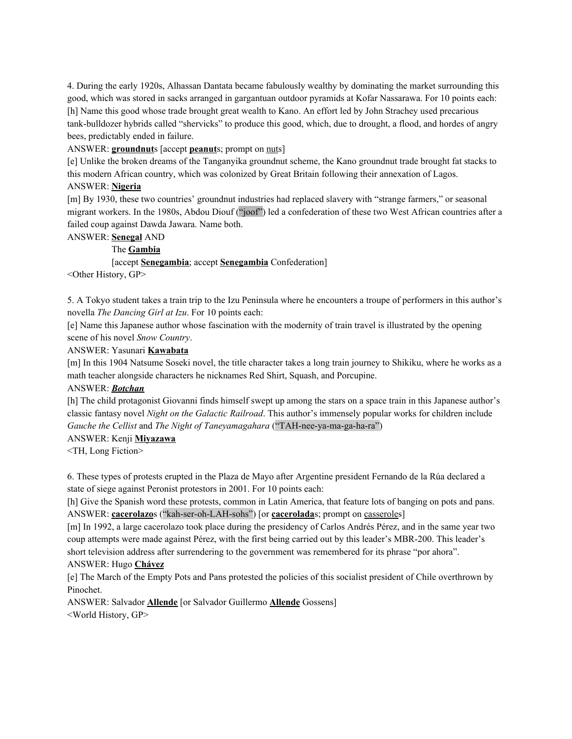4. During the early 1920s, Alhassan Dantata became fabulously wealthy by dominating the market surrounding this good, which was stored in sacks arranged in gargantuan outdoor pyramids at Kofar Nassarawa. For 10 points each: [h] Name this good whose trade brought great wealth to Kano. An effort led by John Strachey used precarious tank-bulldozer hybrids called "shervicks" to produce this good, which, due to drought, a flood, and hordes of angry bees, predictably ended in failure.

ANSWER: **groundnut**s [accept **peanut**s; prompt on nuts]

[e] Unlike the broken dreams of the Tanganyika groundnut scheme, the Kano groundnut trade brought fat stacks to this modern African country, which was colonized by Great Britain following their annexation of Lagos. ANSWER: **Nigeria**

[m] By 1930, these two countries' groundnut industries had replaced slavery with "strange farmers," or seasonal migrant workers. In the 1980s, Abdou Diouf ("joof") led a confederation of these two West African countries after a failed coup against Dawda Jawara. Name both.

## ANSWER: **Senegal** AND

## The **Gambia**

[accept **Senegambia**; accept **Senegambia** Confederation] <Other History, GP>

5. A Tokyo student takes a train trip to the Izu Peninsula where he encounters a troupe of performers in this author's novella *The Dancing Girl at Izu*. For 10 points each:

[e] Name this Japanese author whose fascination with the modernity of train travel is illustrated by the opening scene of his novel *Snow Country*.

## ANSWER: Yasunari **Kawabata**

[m] In this 1904 Natsume Soseki novel, the title character takes a long train journey to Shikiku, where he works as a math teacher alongside characters he nicknames Red Shirt, Squash, and Porcupine.

#### ANSWER: *Botchan*

[h] The child protagonist Giovanni finds himself swept up among the stars on a space train in this Japanese author's classic fantasy novel *Night on the Galactic Railroad*. This author's immensely popular works for children include *Gauche the Cellist* and *The Night of Taneyamagahara* ("TAH-nee-ya-ma-ga-ha-ra")

# ANSWER: Kenji **Miyazawa**

<TH, Long Fiction>

6. These types of protests erupted in the Plaza de Mayo after Argentine president Fernando de la Rúa declared a state of siege against Peronist protestors in 2001. For 10 points each:

[h] Give the Spanish word these protests, common in Latin America, that feature lots of banging on pots and pans. ANSWER: **cacerolazo**s ("kah-ser-oh-LAH-sohs") [or **cacerolada**s; prompt on casseroles]

[m] In 1992, a large cacerolazo took place during the presidency of Carlos Andrés Pérez, and in the same year two coup attempts were made against Pérez, with the first being carried out by this leader's MBR-200. This leader's short television address after surrendering to the government was remembered for its phrase "por ahora". ANSWER: Hugo **Chávez**

[e] The March of the Empty Pots and Pans protested the policies of this socialist president of Chile overthrown by Pinochet.

ANSWER: Salvador **Allende** [or Salvador Guillermo **Allende** Gossens] <World History, GP>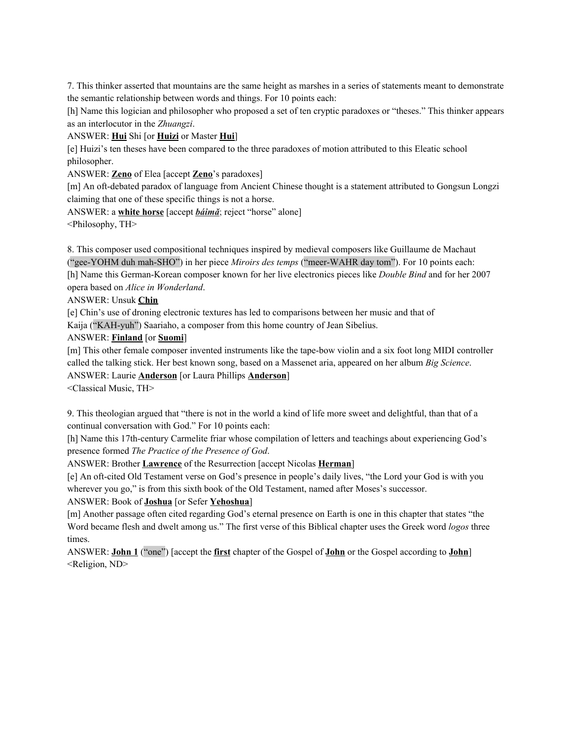7. This thinker asserted that mountains are the same height as marshes in a series of statements meant to demonstrate the semantic relationship between words and things. For 10 points each:

[h] Name this logician and philosopher who proposed a set of ten cryptic paradoxes or "theses." This thinker appears as an interlocutor in the *Zhuangzi*.

ANSWER: **Hui** Shi [or **Huizi** or Master **Hui**]

[e] Huizi's ten theses have been compared to the three paradoxes of motion attributed to this Eleatic school philosopher.

ANSWER: **Zeno** of Elea [accept **Zeno**'s paradoxes]

[m] An oft-debated paradox of language from Ancient Chinese thought is a statement attributed to Gongsun Longzi claiming that one of these specific things is not a horse.

ANSWER: a **white horse** [accept *báimǎ*; reject "horse" alone]

<Philosophy, TH>

8. This composer used compositional techniques inspired by medieval composers like Guillaume de Machaut ("gee-YOHM duh mah-SHO") in her piece *Miroirs des temps* ("meer-WAHR day tom"). For 10 points each: [h] Name this German-Korean composer known for her live electronics pieces like *Double Bind* and for her 2007 opera based on *Alice in Wonderland*.

ANSWER: Unsuk **Chin**

[e] Chin's use of droning electronic textures has led to comparisons between her music and that of Kaija ("KAH-yuh") Saariaho, a composer from this home country of Jean Sibelius.

ANSWER: **Finland** [or **Suomi**]

[m] This other female composer invented instruments like the tape-bow violin and a six foot long MIDI controller called the talking stick. Her best known song, based on a Massenet aria, appeared on her album *Big Science*.

ANSWER: Laurie **Anderson** [or Laura Phillips **Anderson**]

<Classical Music, TH>

9. This theologian argued that "there is not in the world a kind of life more sweet and delightful, than that of a continual conversation with God." For 10 points each:

[h] Name this 17th-century Carmelite friar whose compilation of letters and teachings about experiencing God's presence formed *The Practice of the Presence of God*.

ANSWER: Brother **Lawrence** of the Resurrection [accept Nicolas **Herman**]

[e] An oft-cited Old Testament verse on God's presence in people's daily lives, "the Lord your God is with you wherever you go," is from this sixth book of the Old Testament, named after Moses's successor.

ANSWER: Book of **Joshua** [or Sefer **Yehoshua**]

[m] Another passage often cited regarding God's eternal presence on Earth is one in this chapter that states "the Word became flesh and dwelt among us." The first verse of this Biblical chapter uses the Greek word *logos* three times.

ANSWER: **John 1** ("one") [accept the **first** chapter of the Gospel of **John** or the Gospel according to **John**] <Religion, ND>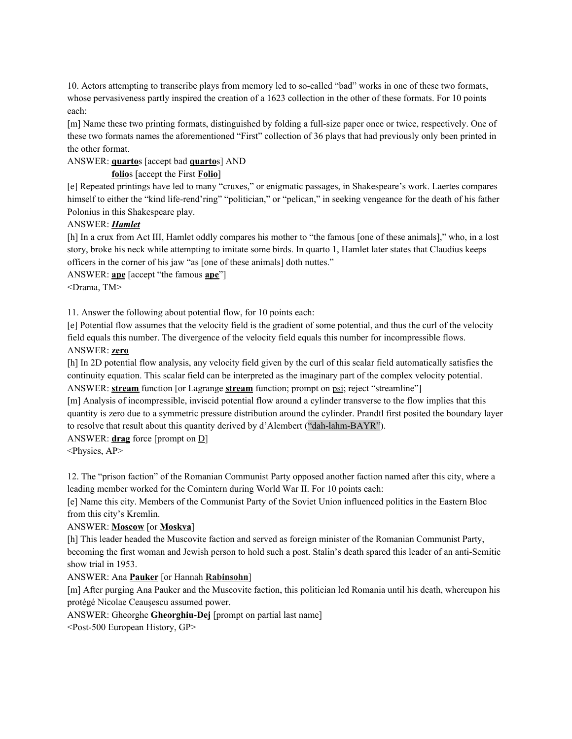10. Actors attempting to transcribe plays from memory led to so-called "bad" works in one of these two formats, whose pervasiveness partly inspired the creation of a 1623 collection in the other of these formats. For 10 points each:

[m] Name these two printing formats, distinguished by folding a full-size paper once or twice, respectively. One of these two formats names the aforementioned "First" collection of 36 plays that had previously only been printed in the other format.

## ANSWER: **quarto**s [accept bad **quarto**s] AND

# **folio**s [accept the First **Folio**]

[e] Repeated printings have led to many "cruxes," or enigmatic passages, in Shakespeare's work. Laertes compares himself to either the "kind life-rend'ring" "politician," or "pelican," in seeking vengeance for the death of his father Polonius in this Shakespeare play.

## ANSWER: *Hamlet*

[h] In a crux from Act III, Hamlet oddly compares his mother to "the famous [one of these animals]," who, in a lost story, broke his neck while attempting to imitate some birds. In quarto 1, Hamlet later states that Claudius keeps officers in the corner of his jaw "as [one of these animals] doth nuttes."

ANSWER: **ape** [accept "the famous **ape**"]

<Drama, TM>

11. Answer the following about potential flow, for 10 points each:

[e] Potential flow assumes that the velocity field is the gradient of some potential, and thus the curl of the velocity field equals this number. The divergence of the velocity field equals this number for incompressible flows. ANSWER: **zero**

[h] In 2D potential flow analysis, any velocity field given by the curl of this scalar field automatically satisfies the continuity equation. This scalar field can be interpreted as the imaginary part of the complex velocity potential. ANSWER: **stream** function [or Lagrange **stream** function; prompt on psi; reject "streamline"]

[m] Analysis of incompressible, inviscid potential flow around a cylinder transverse to the flow implies that this quantity is zero due to a symmetric pressure distribution around the cylinder. Prandtl first posited the boundary layer to resolve that result about this quantity derived by d'Alembert ("dah-lahm-BAYR").

ANSWER: **drag** force [prompt on D]

<Physics, AP>

12. The "prison faction" of the Romanian Communist Party opposed another faction named after this city, where a leading member worked for the Comintern during World War II. For 10 points each:

[e] Name this city. Members of the Communist Party of the Soviet Union influenced politics in the Eastern Bloc from this city's Kremlin.

# ANSWER: **Moscow** [or **Moskva**]

[h] This leader headed the Muscovite faction and served as foreign minister of the Romanian Communist Party, becoming the first woman and Jewish person to hold such a post. Stalin's death spared this leader of an anti-Semitic show trial in 1953.

# ANSWER: Ana **Pauker** [or Hannah **Rabinsohn**]

[m] After purging Ana Pauker and the Muscovite faction, this politician led Romania until his death, whereupon his protégé Nicolae Ceaușescu assumed power.

ANSWER: Gheorghe **Gheorghiu-Dej** [prompt on partial last name]

<Post-500 European History, GP>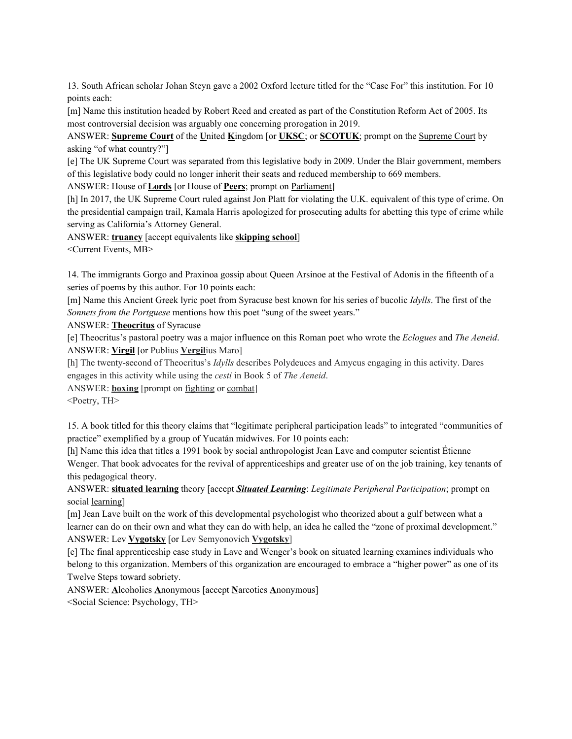13. South African scholar Johan Steyn gave a 2002 Oxford lecture titled for the "Case For" this institution. For 10 points each:

[m] Name this institution headed by Robert Reed and created as part of the Constitution Reform Act of 2005. Its most controversial decision was arguably one concerning prorogation in 2019.

ANSWER: **Supreme Court** of the **U**nited **K**ingdom [or **UKSC**; or **SCOTUK**; prompt on the Supreme Court by asking "of what country?"]

[e] The UK Supreme Court was separated from this legislative body in 2009. Under the Blair government, members of this legislative body could no longer inherit their seats and reduced membership to 669 members.

ANSWER: House of **Lords** [or House of **Peers**; prompt on Parliament]

[h] In 2017, the UK Supreme Court ruled against Jon Platt for violating the U.K. equivalent of this type of crime. On the presidential campaign trail, Kamala Harris apologized for prosecuting adults for abetting this type of crime while serving as California's Attorney General.

ANSWER: **truancy** [accept equivalents like **skipping school**]

<Current Events, MB>

14. The immigrants Gorgo and Praxinoa gossip about Queen Arsinoe at the Festival of Adonis in the fifteenth of a series of poems by this author. For 10 points each:

[m] Name this Ancient Greek lyric poet from Syracuse best known for his series of bucolic *Idylls*. The first of the *Sonnets from the Portguese* mentions how this poet "sung of the sweet years."

ANSWER: **Theocritus** of Syracuse

[e] Theocritus's pastoral poetry was a major influence on this Roman poet who wrote the *Eclogues* and *The Aeneid*. ANSWER: **Virgil** [or Publius **Vergil**ius Maro]

[h] The twenty-second of Theocritus's *Idylls* describes Polydeuces and Amycus engaging in this activity. Dares engages in this activity while using the *cesti* in Book 5 of *The Aeneid*.

ANSWER: **boxing** [prompt on fighting or combat]

<Poetry, TH>

15. A book titled for this theory claims that "legitimate peripheral participation leads" to integrated "communities of practice" exemplified by a group of Yucatán midwives. For 10 points each:

[h] Name this idea that titles a 1991 book by social anthropologist Jean Lave and computer scientist Étienne Wenger. That book advocates for the revival of apprenticeships and greater use of on the job training, key tenants of this pedagogical theory.

ANSWER: **situated learning** theory [accept *Situated Learning*: *Legitimate Peripheral Participation*; prompt on social learning]

[m] Jean Lave built on the work of this developmental psychologist who theorized about a gulf between what a learner can do on their own and what they can do with help, an idea he called the "zone of proximal development." ANSWER: Lev **Vygotsky** [or Lev Semyonovich **Vygotsky**]

[e] The final apprenticeship case study in Lave and Wenger's book on situated learning examines individuals who belong to this organization. Members of this organization are encouraged to embrace a "higher power" as one of its Twelve Steps toward sobriety.

ANSWER: **A**lcoholics **A**nonymous [accept **N**arcotics **A**nonymous] <Social Science: Psychology, TH>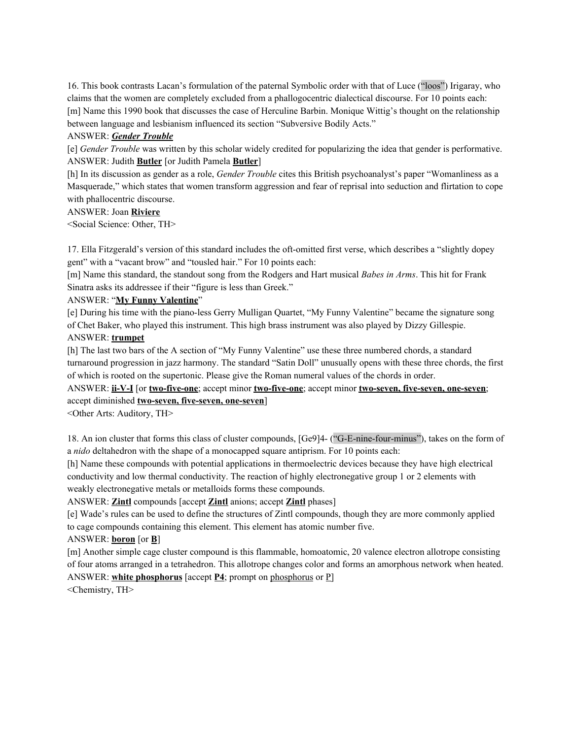16. This book contrasts Lacan's formulation of the paternal Symbolic order with that of Luce ("loos") Irigaray, who claims that the women are completely excluded from a phallogocentric dialectical discourse. For 10 points each: [m] Name this 1990 book that discusses the case of Herculine Barbin. Monique Wittig's thought on the relationship between language and lesbianism influenced its section "Subversive Bodily Acts."

#### ANSWER: *Gender Trouble*

[e] *Gender Trouble* was written by this scholar widely credited for popularizing the idea that gender is performative. ANSWER: Judith **Butler** [or Judith Pamela **Butler**]

[h] In its discussion as gender as a role, *Gender Trouble* cites this British psychoanalyst's paper "Womanliness as a Masquerade," which states that women transform aggression and fear of reprisal into seduction and flirtation to cope with phallocentric discourse.

## ANSWER: Joan **Riviere**

<Social Science: Other, TH>

17. Ella Fitzgerald's version of this standard includes the oft-omitted first verse, which describes a "slightly dopey gent" with a "vacant brow" and "tousled hair." For 10 points each:

[m] Name this standard, the standout song from the Rodgers and Hart musical *Babes in Arms*. This hit for Frank Sinatra asks its addressee if their "figure is less than Greek."

## ANSWER: "**My Funny Valentine**"

[e] During his time with the piano-less Gerry Mulligan Quartet, "My Funny Valentine" became the signature song of Chet Baker, who played this instrument. This high brass instrument was also played by Dizzy Gillespie. ANSWER: **trumpet**

[h] The last two bars of the A section of "My Funny Valentine" use these three numbered chords, a standard turnaround progression in jazz harmony. The standard "Satin Doll" unusually opens with these three chords, the first of which is rooted on the supertonic. Please give the Roman numeral values of the chords in order.

ANSWER: **ii-V-I** [or **two-five-one**; accept minor **two-five-one**; accept minor **two-seven, five-seven, one-seven**; accept diminished **two-seven, five-seven, one-seven**]

<Other Arts: Auditory, TH>

18. An ion cluster that forms this class of cluster compounds, [Ge9]4- ("G-E-nine-four-minus"), takes on the form of a *nido* deltahedron with the shape of a monocapped square antiprism. For 10 points each:

[h] Name these compounds with potential applications in thermoelectric devices because they have high electrical conductivity and low thermal conductivity. The reaction of highly electronegative group 1 or 2 elements with weakly electronegative metals or metalloids forms these compounds.

ANSWER: **Zintl** compounds [accept **Zintl** anions; accept **Zintl** phases]

[e] Wade's rules can be used to define the structures of Zintl compounds, though they are more commonly applied to cage compounds containing this element. This element has atomic number five.

# ANSWER: **boron** [or **B**]

[m] Another simple cage cluster compound is this flammable, homoatomic, 20 valence electron allotrope consisting of four atoms arranged in a tetrahedron. This allotrope changes color and forms an amorphous network when heated. ANSWER: **white phosphorus** [accept **P4**; prompt on phosphorus or P]

<Chemistry, TH>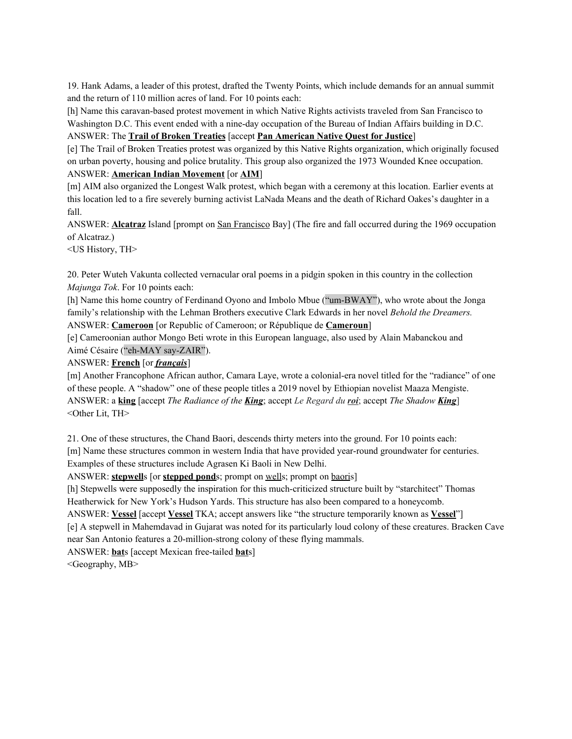19. Hank Adams, a leader of this protest, drafted the Twenty Points, which include demands for an annual summit and the return of 110 million acres of land. For 10 points each:

[h] Name this caravan-based protest movement in which Native Rights activists traveled from San Francisco to Washington D.C. This event ended with a nine-day occupation of the Bureau of Indian Affairs building in D.C.

ANSWER: The **Trail of Broken Treaties** [accept **Pan American Native Quest for Justice**]

[e] The Trail of Broken Treaties protest was organized by this Native Rights organization, which originally focused on urban poverty, housing and police brutality. This group also organized the 1973 Wounded Knee occupation. ANSWER: **American Indian Movement** [or **AIM**]

[m] AIM also organized the Longest Walk protest, which began with a ceremony at this location. Earlier events at this location led to a fire severely burning activist LaNada Means and the death of Richard Oakes's daughter in a fall.

ANSWER: **Alcatraz** Island [prompt on San Francisco Bay] (The fire and fall occurred during the 1969 occupation of Alcatraz.)

<US History, TH>

20. Peter Wuteh Vakunta collected vernacular oral poems in a pidgin spoken in this country in the collection *Majunga Tok*. For 10 points each:

[h] Name this home country of Ferdinand Oyono and Imbolo Mbue ("um-BWAY"), who wrote about the Jonga family's relationship with the Lehman Brothers executive Clark Edwards in her novel *Behold the Dreamers.* ANSWER: **Cameroon** [or Republic of Cameroon; or République de **Cameroun**]

[e] Cameroonian author Mongo Beti wrote in this European language, also used by Alain Mabanckou and Aimé Césaire ("eh-MAY say-ZAIR").

# ANSWER: **French** [or *français*]

[m] Another Francophone African author, Camara Laye, wrote a colonial-era novel titled for the "radiance" of one of these people. A "shadow" one of these people titles a 2019 novel by Ethiopian novelist Maaza Mengiste. ANSWER: a **king** [accept *The Radiance of the King*; accept *Le Regard du roi*; accept *The Shadow King*] <Other Lit, TH>

21. One of these structures, the Chand Baori, descends thirty meters into the ground. For 10 points each: [m] Name these structures common in western India that have provided year-round groundwater for centuries. Examples of these structures include Agrasen Ki Baoli in New Delhi.

ANSWER: **stepwell**s [or **stepped pond**s; prompt on wells; prompt on baoris]

[h] Stepwells were supposedly the inspiration for this much-criticized structure built by "starchitect" Thomas Heatherwick for New York's Hudson Yards. This structure has also been compared to a honeycomb.

ANSWER: **Vessel** [accept **Vessel** TKA; accept answers like "the structure temporarily known as **Vessel**"]

[e] A stepwell in Mahemdavad in Gujarat was noted for its particularly loud colony of these creatures. Bracken Cave near San Antonio features a 20-million-strong colony of these flying mammals.

ANSWER: **bat**s [accept Mexican free-tailed **bat**s]

<Geography, MB>